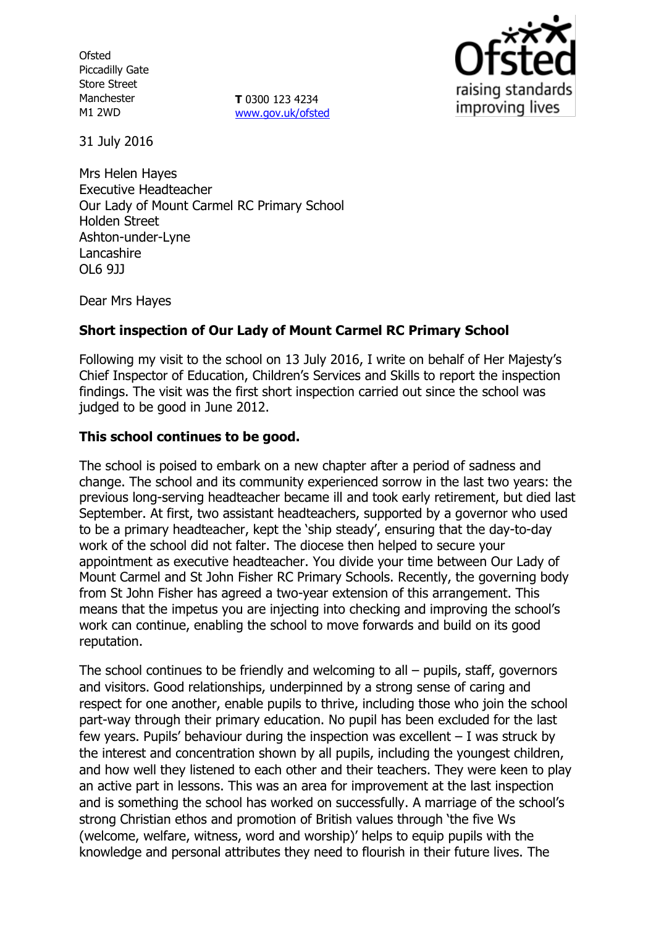**Ofsted** Piccadilly Gate Store Street Manchester M1 2WD

**T** 0300 123 4234 [www.gov.uk/ofsted](http://www.gov.uk/ofsted)



31 July 2016

Mrs Helen Hayes Executive Headteacher Our Lady of Mount Carmel RC Primary School Holden Street Ashton-under-Lyne Lancashire OL6 9JJ

Dear Mrs Hayes

# **Short inspection of Our Lady of Mount Carmel RC Primary School**

Following my visit to the school on 13 July 2016, I write on behalf of Her Majesty's Chief Inspector of Education, Children's Services and Skills to report the inspection findings. The visit was the first short inspection carried out since the school was judged to be good in June 2012.

### **This school continues to be good.**

The school is poised to embark on a new chapter after a period of sadness and change. The school and its community experienced sorrow in the last two years: the previous long-serving headteacher became ill and took early retirement, but died last September. At first, two assistant headteachers, supported by a governor who used to be a primary headteacher, kept the 'ship steady', ensuring that the day-to-day work of the school did not falter. The diocese then helped to secure your appointment as executive headteacher. You divide your time between Our Lady of Mount Carmel and St John Fisher RC Primary Schools. Recently, the governing body from St John Fisher has agreed a two-year extension of this arrangement. This means that the impetus you are injecting into checking and improving the school's work can continue, enabling the school to move forwards and build on its good reputation.

The school continues to be friendly and welcoming to all – pupils, staff, governors and visitors. Good relationships, underpinned by a strong sense of caring and respect for one another, enable pupils to thrive, including those who join the school part-way through their primary education. No pupil has been excluded for the last few years. Pupils' behaviour during the inspection was excellent – I was struck by the interest and concentration shown by all pupils, including the youngest children, and how well they listened to each other and their teachers. They were keen to play an active part in lessons. This was an area for improvement at the last inspection and is something the school has worked on successfully. A marriage of the school's strong Christian ethos and promotion of British values through 'the five Ws (welcome, welfare, witness, word and worship)' helps to equip pupils with the knowledge and personal attributes they need to flourish in their future lives. The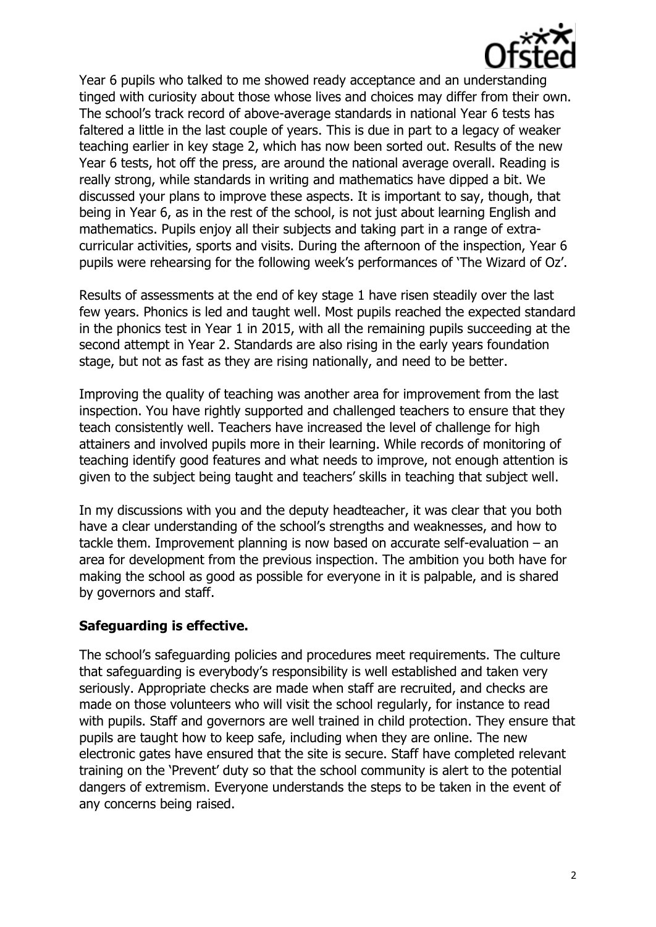

Year 6 pupils who talked to me showed ready acceptance and an understanding tinged with curiosity about those whose lives and choices may differ from their own. The school's track record of above-average standards in national Year 6 tests has faltered a little in the last couple of years. This is due in part to a legacy of weaker teaching earlier in key stage 2, which has now been sorted out. Results of the new Year 6 tests, hot off the press, are around the national average overall. Reading is really strong, while standards in writing and mathematics have dipped a bit. We discussed your plans to improve these aspects. It is important to say, though, that being in Year 6, as in the rest of the school, is not just about learning English and mathematics. Pupils enjoy all their subjects and taking part in a range of extracurricular activities, sports and visits. During the afternoon of the inspection, Year 6 pupils were rehearsing for the following week's performances of 'The Wizard of Oz'.

Results of assessments at the end of key stage 1 have risen steadily over the last few years. Phonics is led and taught well. Most pupils reached the expected standard in the phonics test in Year 1 in 2015, with all the remaining pupils succeeding at the second attempt in Year 2. Standards are also rising in the early years foundation stage, but not as fast as they are rising nationally, and need to be better.

Improving the quality of teaching was another area for improvement from the last inspection. You have rightly supported and challenged teachers to ensure that they teach consistently well. Teachers have increased the level of challenge for high attainers and involved pupils more in their learning. While records of monitoring of teaching identify good features and what needs to improve, not enough attention is given to the subject being taught and teachers' skills in teaching that subject well.

In my discussions with you and the deputy headteacher, it was clear that you both have a clear understanding of the school's strengths and weaknesses, and how to tackle them. Improvement planning is now based on accurate self-evaluation – an area for development from the previous inspection. The ambition you both have for making the school as good as possible for everyone in it is palpable, and is shared by governors and staff.

# **Safeguarding is effective.**

The school's safeguarding policies and procedures meet requirements. The culture that safeguarding is everybody's responsibility is well established and taken very seriously. Appropriate checks are made when staff are recruited, and checks are made on those volunteers who will visit the school regularly, for instance to read with pupils. Staff and governors are well trained in child protection. They ensure that pupils are taught how to keep safe, including when they are online. The new electronic gates have ensured that the site is secure. Staff have completed relevant training on the 'Prevent' duty so that the school community is alert to the potential dangers of extremism. Everyone understands the steps to be taken in the event of any concerns being raised.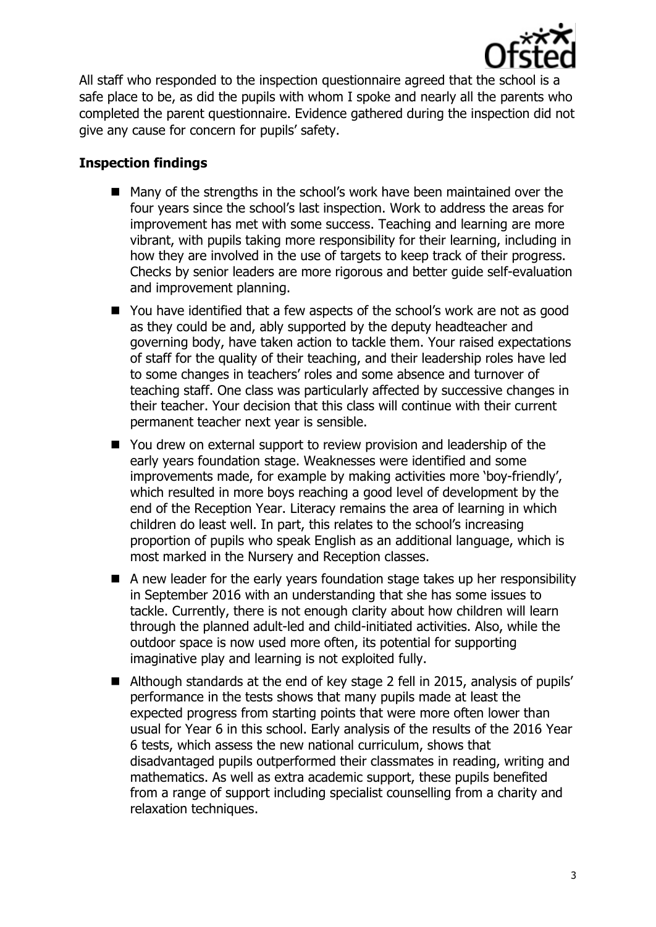

All staff who responded to the inspection questionnaire agreed that the school is a safe place to be, as did the pupils with whom I spoke and nearly all the parents who completed the parent questionnaire. Evidence gathered during the inspection did not give any cause for concern for pupils' safety.

### **Inspection findings**

- Many of the strengths in the school's work have been maintained over the four years since the school's last inspection. Work to address the areas for improvement has met with some success. Teaching and learning are more vibrant, with pupils taking more responsibility for their learning, including in how they are involved in the use of targets to keep track of their progress. Checks by senior leaders are more rigorous and better guide self-evaluation and improvement planning.
- You have identified that a few aspects of the school's work are not as good as they could be and, ably supported by the deputy headteacher and governing body, have taken action to tackle them. Your raised expectations of staff for the quality of their teaching, and their leadership roles have led to some changes in teachers' roles and some absence and turnover of teaching staff. One class was particularly affected by successive changes in their teacher. Your decision that this class will continue with their current permanent teacher next year is sensible.
- You drew on external support to review provision and leadership of the early years foundation stage. Weaknesses were identified and some improvements made, for example by making activities more 'boy-friendly', which resulted in more boys reaching a good level of development by the end of the Reception Year. Literacy remains the area of learning in which children do least well. In part, this relates to the school's increasing proportion of pupils who speak English as an additional language, which is most marked in the Nursery and Reception classes.
- A new leader for the early years foundation stage takes up her responsibility in September 2016 with an understanding that she has some issues to tackle. Currently, there is not enough clarity about how children will learn through the planned adult-led and child-initiated activities. Also, while the outdoor space is now used more often, its potential for supporting imaginative play and learning is not exploited fully.
- Although standards at the end of key stage 2 fell in 2015, analysis of pupils' performance in the tests shows that many pupils made at least the expected progress from starting points that were more often lower than usual for Year 6 in this school. Early analysis of the results of the 2016 Year 6 tests, which assess the new national curriculum, shows that disadvantaged pupils outperformed their classmates in reading, writing and mathematics. As well as extra academic support, these pupils benefited from a range of support including specialist counselling from a charity and relaxation techniques.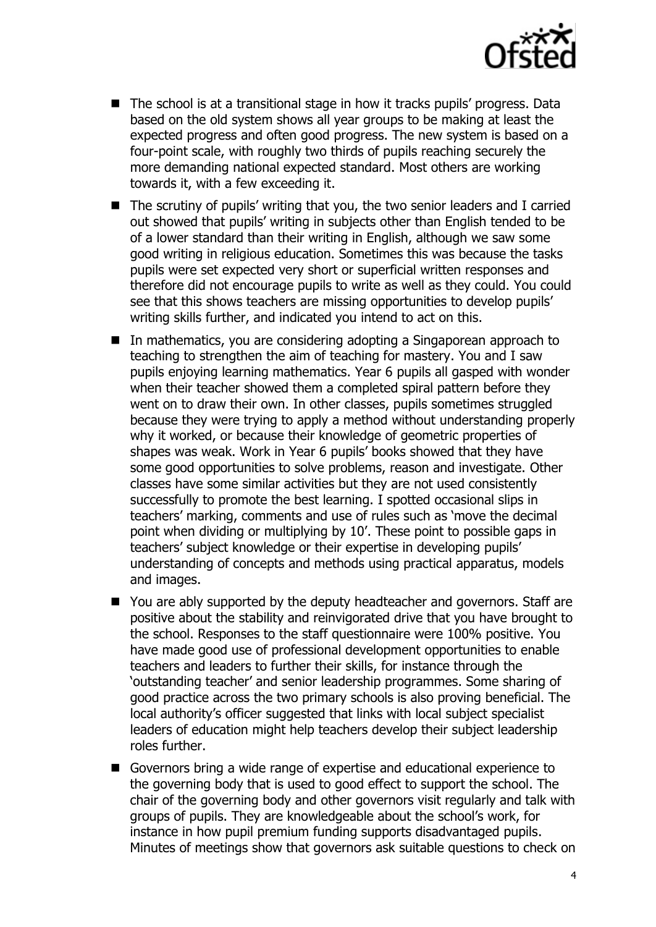

- The school is at a transitional stage in how it tracks pupils' progress. Data based on the old system shows all year groups to be making at least the expected progress and often good progress. The new system is based on a four-point scale, with roughly two thirds of pupils reaching securely the more demanding national expected standard. Most others are working towards it, with a few exceeding it.
- The scrutiny of pupils' writing that you, the two senior leaders and I carried out showed that pupils' writing in subjects other than English tended to be of a lower standard than their writing in English, although we saw some good writing in religious education. Sometimes this was because the tasks pupils were set expected very short or superficial written responses and therefore did not encourage pupils to write as well as they could. You could see that this shows teachers are missing opportunities to develop pupils' writing skills further, and indicated you intend to act on this.
- In mathematics, you are considering adopting a Singaporean approach to teaching to strengthen the aim of teaching for mastery. You and I saw pupils enjoying learning mathematics. Year 6 pupils all gasped with wonder when their teacher showed them a completed spiral pattern before they went on to draw their own. In other classes, pupils sometimes struggled because they were trying to apply a method without understanding properly why it worked, or because their knowledge of geometric properties of shapes was weak. Work in Year 6 pupils' books showed that they have some good opportunities to solve problems, reason and investigate. Other classes have some similar activities but they are not used consistently successfully to promote the best learning. I spotted occasional slips in teachers' marking, comments and use of rules such as 'move the decimal point when dividing or multiplying by 10'. These point to possible gaps in teachers' subject knowledge or their expertise in developing pupils' understanding of concepts and methods using practical apparatus, models and images.
- You are ably supported by the deputy headteacher and governors. Staff are positive about the stability and reinvigorated drive that you have brought to the school. Responses to the staff questionnaire were 100% positive. You have made good use of professional development opportunities to enable teachers and leaders to further their skills, for instance through the 'outstanding teacher' and senior leadership programmes. Some sharing of good practice across the two primary schools is also proving beneficial. The local authority's officer suggested that links with local subject specialist leaders of education might help teachers develop their subject leadership roles further.
- Governors bring a wide range of expertise and educational experience to the governing body that is used to good effect to support the school. The chair of the governing body and other governors visit regularly and talk with groups of pupils. They are knowledgeable about the school's work, for instance in how pupil premium funding supports disadvantaged pupils. Minutes of meetings show that governors ask suitable questions to check on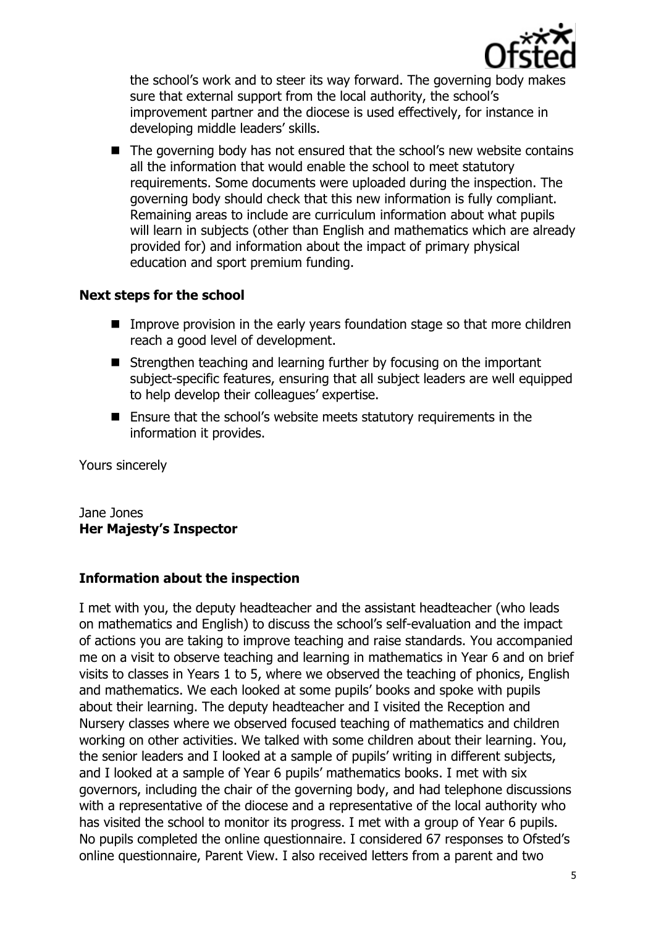

the school's work and to steer its way forward. The governing body makes sure that external support from the local authority, the school's improvement partner and the diocese is used effectively, for instance in developing middle leaders' skills.

■ The governing body has not ensured that the school's new website contains all the information that would enable the school to meet statutory requirements. Some documents were uploaded during the inspection. The governing body should check that this new information is fully compliant. Remaining areas to include are curriculum information about what pupils will learn in subjects (other than English and mathematics which are already provided for) and information about the impact of primary physical education and sport premium funding.

### **Next steps for the school**

- **IMPROVE PROVISION IN the early years foundation stage so that more children** reach a good level of development.
- Strengthen teaching and learning further by focusing on the important subject-specific features, ensuring that all subject leaders are well equipped to help develop their colleagues' expertise.
- Ensure that the school's website meets statutory requirements in the information it provides.

Yours sincerely

### Jane Jones **Her Majesty's Inspector**

# **Information about the inspection**

I met with you, the deputy headteacher and the assistant headteacher (who leads on mathematics and English) to discuss the school's self-evaluation and the impact of actions you are taking to improve teaching and raise standards. You accompanied me on a visit to observe teaching and learning in mathematics in Year 6 and on brief visits to classes in Years 1 to 5, where we observed the teaching of phonics, English and mathematics. We each looked at some pupils' books and spoke with pupils about their learning. The deputy headteacher and I visited the Reception and Nursery classes where we observed focused teaching of mathematics and children working on other activities. We talked with some children about their learning. You, the senior leaders and I looked at a sample of pupils' writing in different subjects, and I looked at a sample of Year 6 pupils' mathematics books. I met with six governors, including the chair of the governing body, and had telephone discussions with a representative of the diocese and a representative of the local authority who has visited the school to monitor its progress. I met with a group of Year 6 pupils. No pupils completed the online questionnaire. I considered 67 responses to Ofsted's online questionnaire, Parent View. I also received letters from a parent and two